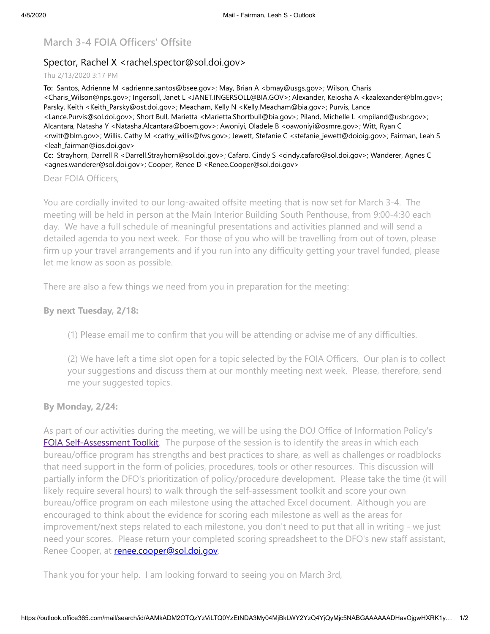# **March 3-4 FOIA Officers' Offsite**

## Spector, Rachel X <rachel.spector@sol.doi.gov>

#### Thu 2/13/2020 3:17 PM

**To:** Santos, Adrienne M <adrienne.santos@bsee.gov>; May, Brian A <bmay@usgs.gov>; Wilson, Charis <Charis\_Wilson@nps.gov>; Ingersoll, Janet L <JANET.INGERSOLL@BIA.GOV>; Alexander, Keiosha A <kaalexander@blm.gov>; Parsky, Keith <Keith\_Parsky@ost.doi.gov>; Meacham, Kelly N <Kelly.Meacham@bia.gov>; Purvis, Lance <Lance.Purvis@sol.doi.gov>; Short Bull, Marietta <Marietta.Shortbull@bia.gov>; Piland, Michelle L <mpiland@usbr.gov>; Alcantara, Natasha Y <Natasha.Alcantara@boem.gov>; Awoniyi, Oladele B <oawoniyi@osmre.gov>; Witt, Ryan C <rwitt@blm.gov>; Willis, Cathy M <cathy\_willis@fws.gov>; Jewett, Stefanie C <stefanie\_jewett@doioig.gov>; Fairman, Leah S <leah\_fairman@ios.doi.gov>

**Cc:** Strayhorn, Darrell R <Darrell.Strayhorn@sol.doi.gov>; Cafaro, Cindy S <cindy.cafaro@sol.doi.gov>; Wanderer, Agnes C <agnes.wanderer@sol.doi.gov>; Cooper, Renee D <Renee.Cooper@sol.doi.gov>

#### Dear FOIA Officers,

You are cordially invited to our long-awaited offsite meeting that is now set for March 3-4. The meeting will be held in person at the Main Interior Building South Penthouse, from 9:00-4:30 each day. We have a full schedule of meaningful presentations and activities planned and will send a detailed agenda to you next week. For those of you who will be travelling from out of town, please firm up your travel arrangements and if you run into any difficulty getting your travel funded, please let me know as soon as possible.

There are also a few things we need from you in preparation for the meeting:

### **By next Tuesday, 2/18:**

(1) Please email me to confirm that you will be attending or advise me of any difficulties.

(2) We have left a time slot open for a topic selected by the FOIA Officers. Our plan is to collect your suggestions and discuss them at our monthly meeting next week. Please, therefore, send me your suggested topics.

#### **By Monday, 2/24:**

As part of our activities during the meeting, we will be using the DOJ Office of Information Policy's **[FOIA Self-Assessment Toolkit](https://www.justice.gov/oip/foia-resources/foia-self-assessment-toolkit/download)**. The purpose of the session is to identify the areas in which each bureau/office program has strengths and best practices to share, as well as challenges or roadblocks that need support in the form of policies, procedures, tools or other resources. This discussion will partially inform the DFO's prioritization of policy/procedure development. Please take the time (it will likely require several hours) to walk through the self-assessment toolkit and score your own bureau/office program on each milestone using the attached Excel document. Although you are encouraged to think about the evidence for scoring each milestone as well as the areas for improvement/next steps related to each milestone, you don't need to put that all in writing - we just need your scores. Please return your completed scoring spreadsheet to the DFO's new staff assistant, Renee Cooper, at **[renee.cooper@sol.doi.gov](mailto:renee.cooper@sol.doi.gov)**.

Thank you for your help. I am looking forward to seeing you on March 3rd,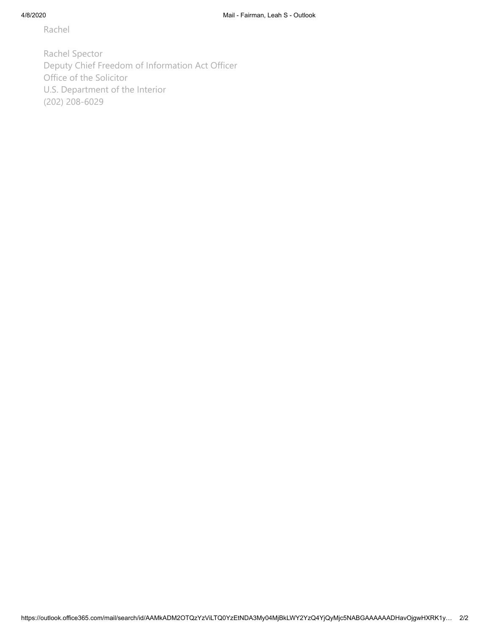Rachel

Rachel Spector Deputy Chief Freedom of Information Act Officer Office of the Solicitor U.S. Department of the Interior (202) 208-6029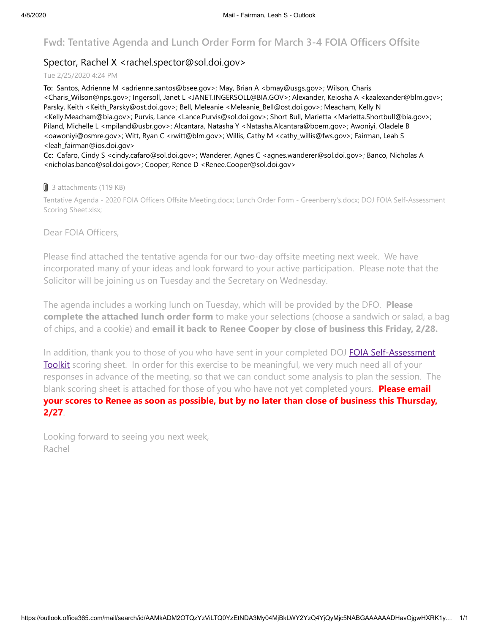## **Fwd: Tentative Agenda and Lunch Order Form for March 3-4 FOIA Officers Offsite**

## Spector, Rachel X <rachel.spector@sol.doi.gov>

Tue 2/25/2020 4:24 PM

**To:** Santos, Adrienne M <adrienne.santos@bsee.gov>; May, Brian A <bmay@usgs.gov>; Wilson, Charis <Charis\_Wilson@nps.gov>; Ingersoll, Janet L <JANET.INGERSOLL@BIA.GOV>; Alexander, Keiosha A <kaalexander@blm.gov>; Parsky, Keith <Keith\_Parsky@ost.doi.gov>; Bell, Meleanie <Meleanie\_Bell@ost.doi.gov>; Meacham, Kelly N <Kelly.Meacham@bia.gov>; Purvis, Lance <Lance.Purvis@sol.doi.gov>; Short Bull, Marietta <Marietta.Shortbull@bia.gov>; Piland, Michelle L <mpiland@usbr.gov>; Alcantara, Natasha Y <Natasha.Alcantara@boem.gov>; Awoniyi, Oladele B <oawoniyi@osmre.gov>; Witt, Ryan C <rwitt@blm.gov>; Willis, Cathy M <cathy\_willis@fws.gov>; Fairman, Leah S <leah\_fairman@ios.doi.gov>

**Cc:** Cafaro, Cindy S <cindy.cafaro@sol.doi.gov>; Wanderer, Agnes C <agnes.wanderer@sol.doi.gov>; Banco, Nicholas A <nicholas.banco@sol.doi.gov>; Cooper, Renee D <Renee.Cooper@sol.doi.gov>

#### **J** 3 attachments (119 KB)

Tentative Agenda - 2020 FOIA Officers Offsite Meeting.docx; Lunch Order Form - Greenberry's.docx; DOJ FOIA Self-Assessment Scoring Sheet.xlsx;

Dear FOIA Officers,

Please find attached the tentative agenda for our two-day offsite meeting next week. We have incorporated many of your ideas and look forward to your active participation. Please note that the Solicitor will be joining us on Tuesday and the Secretary on Wednesday.

The agenda includes a working lunch on Tuesday, which will be provided by the DFO. **Please complete the attached lunch order form** to make your selections (choose a sandwich or salad, a bag of chips, and a cookie) and **email it back to Renee Cooper by close of business this Friday, 2/28.**

[In addition, thank you to those of you who have sent in your completed DOJ FOIA Self-Assessment](https://www.justice.gov/oip/foia-resources/foia-self-assessment-toolkit/download) Toolkit scoring sheet. In order for this exercise to be meaningful, we very much need all of your responses in advance of the meeting, so that we can conduct some analysis to plan the session. The blank scoring sheet is attached for those of you who have not yet completed yours. **Please email your scores to Renee as soon as possible, but by no later than close of business this Thursday, 2/27**.

Looking forward to seeing you next week, Rachel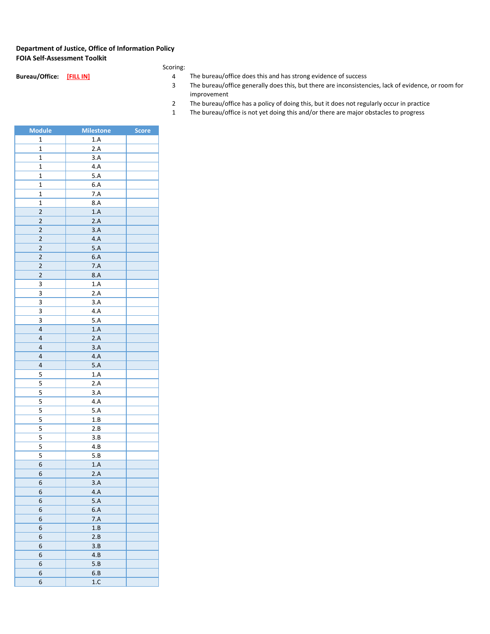#### **Department of Justice, Office of Information Policy FOIA Self-Assessment Toolkit**

| Bureau/Office: | <b>FILL INT</b> |  |
|----------------|-----------------|--|

**Pureau/office: [FILL IN] Bureau/office does this and has strong evidence of success**<br>3 The bureau/office generally does this, but there are inconsisten

- The bureau/office generally does this, but there are inconsistencies, lack of evidence, or room for improvement
- The bureau/office has a policy of doing this, but it does not regularly occur in practice
- The bureau/office is not yet doing this and/or there are major obstacles to progress

| <b>Module</b>           | <b>Milestone</b> | <b>Score</b> |
|-------------------------|------------------|--------------|
| 1                       | $1.A$            |              |
| $\mathbf{1}$            | 2.A              |              |
| 1                       | 3.A              |              |
| 1                       | 4.A              |              |
| $\mathbf{1}$            | 5.A              |              |
| 1                       | 6.A              |              |
| $\mathbf{1}$            | 7.A              |              |
| $\mathbf{1}$            | 8.A              |              |
| $\overline{2}$          | 1.A              |              |
| $\overline{\mathbf{c}}$ | 2.A              |              |
| $\overline{\mathbf{c}}$ | 3.A              |              |
| $\overline{2}$          | 4.A              |              |
| $\overline{\mathbf{c}}$ | 5.A              |              |
| 2                       | 6.A              |              |
| $\overline{2}$          | 7.A              |              |
| 2                       | 8.A              |              |
| 3                       | 1.A              |              |
| 3                       | 2.A              |              |
| 3                       | 3.A              |              |
| 3                       | $4.A$            |              |
| 3                       | 5.A              |              |
| $\overline{4}$          | 1.A              |              |
| $\overline{4}$          | 2.A              |              |
| $\overline{4}$          | 3.A              |              |
| $\overline{4}$          | 4.A              |              |
| $\overline{4}$          | 5.A              |              |
| 5                       | 1.A              |              |
| 5                       | 2.A              |              |
| 5                       | 3.A              |              |
| 5                       | 4.A              |              |
| 5                       | 5.A              |              |
| 5                       | 1.B              |              |
| 5                       | 2.B              |              |
| 5                       | 3.B              |              |
| 5                       | 4.B              |              |
| 5                       | 5.B              |              |
| 6                       | 1.A              |              |
| 6                       | 2.A              |              |
| 6                       | 3.A              |              |
| 6                       | 4.A              |              |
| 6                       | 5.A              |              |
| 6                       | 6.A              |              |
| 6                       | 7.A              |              |
| 6                       | 1.B              |              |
| 6                       | 2.B              |              |
| 6                       | 3.B              |              |
| 6                       | 4.B              |              |
| 6                       | 5.B              |              |
| 6                       | 6.B              |              |
| 6                       | 1.C              |              |
|                         |                  |              |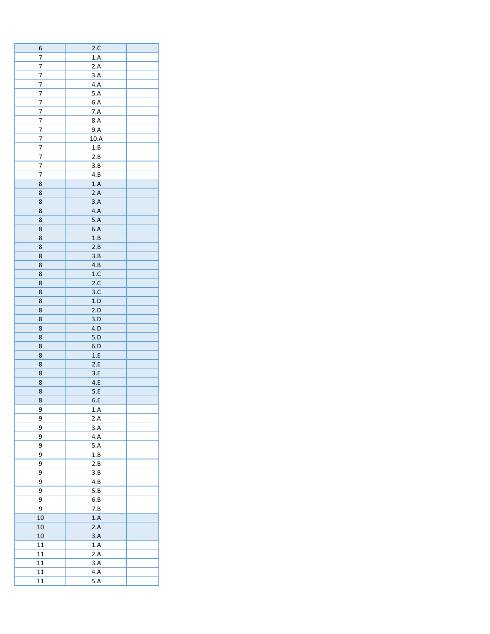| 6              | 2.C              |  |
|----------------|------------------|--|
| 7              | 1.A              |  |
| 7              | 2.A              |  |
| 7              | 3.A              |  |
| 7              | 4.A              |  |
| 7              | 5.A              |  |
| 7              | 6.A              |  |
| 7              | 7.A              |  |
| $\overline{7}$ | 8.A              |  |
| 7              |                  |  |
|                | 9.A              |  |
| 7              | 10.A             |  |
| 7              | 1.B              |  |
| 7              | 2.B              |  |
| 7              | 3.B              |  |
| 7              | 4.B              |  |
| 8              | 1.A              |  |
| 8              | 2.A              |  |
| 8              | 3.A              |  |
| 8              | 4.A              |  |
| 8              | 5.A              |  |
| 8              | 6.A              |  |
| 8              | 1.B              |  |
| 8              | 2.B              |  |
| 8              | 3.B              |  |
| 8              | 4.B              |  |
| 8              | 1.C              |  |
| 8              | 2.C              |  |
| 8              | 3.C              |  |
| 8              | 1.D              |  |
| 8              | 2.D              |  |
|                |                  |  |
| 8              | 3.D              |  |
| 8              | 4.D              |  |
| 8              | 5.D              |  |
| 8              | 6.D              |  |
| 8              | 1.E              |  |
| 8              | 2.E              |  |
| 8              | 3.E              |  |
| 8              | $4.E$            |  |
| 8              | 5.E              |  |
| 8              | 6.E              |  |
| 9              | 1.A              |  |
| 9              | 2.A              |  |
| $\overline{9}$ | 3.A              |  |
| 9              | 4.A              |  |
| 9              | 5.A              |  |
| 9              | 1.B              |  |
| 9              | 2.B              |  |
| 9              | 3.B              |  |
| 9              | 4.B              |  |
| 9              |                  |  |
|                | 5.B              |  |
| 9              | $6.B$            |  |
| 9              | 7.B              |  |
| 10             | 1.A              |  |
| $10\,$         | 2.A              |  |
| $10\,$         | $3.A$            |  |
| $11\,$         | 1.A              |  |
| $11\,$         | $2.A$            |  |
| $11\,$         | 3.A              |  |
| 11             | $\overline{4.A}$ |  |
| 11             | $\overline{5.A}$ |  |
|                |                  |  |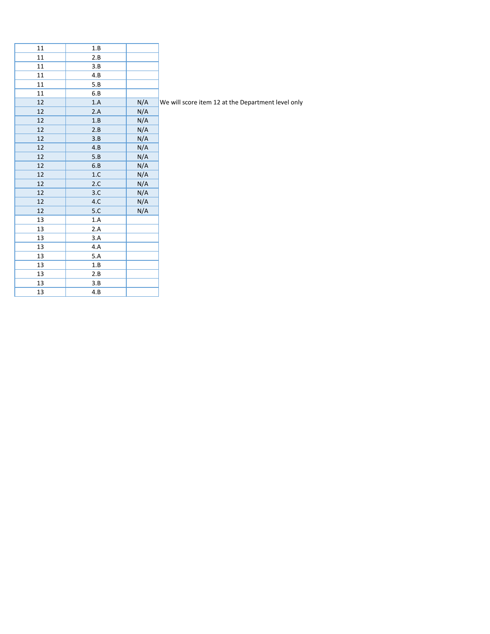| 11     | 1.B   |     |                                                    |
|--------|-------|-----|----------------------------------------------------|
| 11     | 2.B   |     |                                                    |
| $11\,$ | 3.B   |     |                                                    |
| 11     | 4.B   |     |                                                    |
| 11     | 5.B   |     |                                                    |
| 11     | 6.B   |     |                                                    |
| 12     | 1.A   | N/A | We will score item 12 at the Department level only |
| $12\,$ | 2.A   | N/A |                                                    |
| 12     | 1.B   | N/A |                                                    |
| 12     | 2.B   | N/A |                                                    |
| $12\,$ | 3.B   | N/A |                                                    |
| 12     | 4.B   | N/A |                                                    |
| 12     | 5.B   | N/A |                                                    |
| 12     | 6.B   | N/A |                                                    |
| 12     | $1.C$ | N/A |                                                    |
| 12     | 2.C   | N/A |                                                    |
| $12\,$ | 3.C   | N/A |                                                    |
| 12     | $4.C$ | N/A |                                                    |
| 12     | 5.C   | N/A |                                                    |
| 13     | 1.A   |     |                                                    |
| 13     | 2.A   |     |                                                    |
| 13     | 3.A   |     |                                                    |
| 13     | 4.A   |     |                                                    |
| 13     | 5.A   |     |                                                    |
| 13     | 1.B   |     |                                                    |
| 13     | 2.B   |     |                                                    |
| 13     | 3.B   |     |                                                    |
| 13     | 4.B   |     |                                                    |
|        |       |     |                                                    |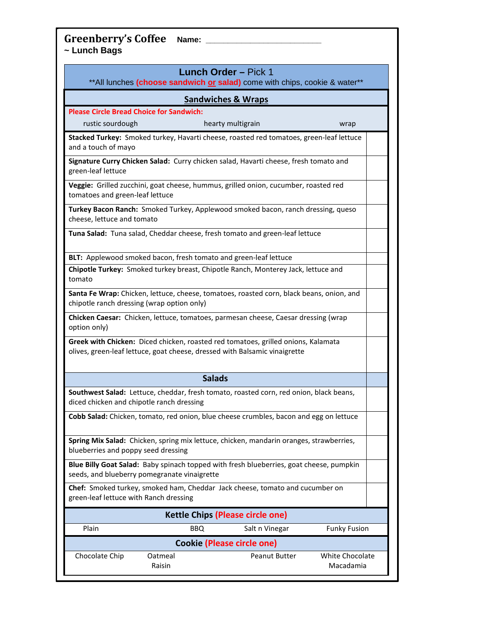**Greenberry's Coffee Name: \_\_\_\_\_\_\_\_\_\_\_\_\_\_\_\_\_\_\_\_\_\_\_\_\_\_ ~ Lunch Bags**

| <b>Lunch Order - Pick 1</b><br>**All lunches (choose sandwich or salad) come with chips, cookie & water**                                                       |  |  |  |
|-----------------------------------------------------------------------------------------------------------------------------------------------------------------|--|--|--|
| <b>Sandwiches &amp; Wraps</b>                                                                                                                                   |  |  |  |
| <b>Please Circle Bread Choice for Sandwich:</b><br>rustic sourdough<br>hearty multigrain<br>wrap                                                                |  |  |  |
| Stacked Turkey: Smoked turkey, Havarti cheese, roasted red tomatoes, green-leaf lettuce<br>and a touch of mayo                                                  |  |  |  |
| Signature Curry Chicken Salad: Curry chicken salad, Havarti cheese, fresh tomato and<br>green-leaf lettuce                                                      |  |  |  |
| Veggie: Grilled zucchini, goat cheese, hummus, grilled onion, cucumber, roasted red<br>tomatoes and green-leaf lettuce                                          |  |  |  |
| Turkey Bacon Ranch: Smoked Turkey, Applewood smoked bacon, ranch dressing, queso<br>cheese, lettuce and tomato                                                  |  |  |  |
| Tuna Salad: Tuna salad, Cheddar cheese, fresh tomato and green-leaf lettuce                                                                                     |  |  |  |
| BLT: Applewood smoked bacon, fresh tomato and green-leaf lettuce                                                                                                |  |  |  |
| Chipotle Turkey: Smoked turkey breast, Chipotle Ranch, Monterey Jack, lettuce and<br>tomato                                                                     |  |  |  |
| Santa Fe Wrap: Chicken, lettuce, cheese, tomatoes, roasted corn, black beans, onion, and<br>chipotle ranch dressing (wrap option only)                          |  |  |  |
| Chicken Caesar: Chicken, lettuce, tomatoes, parmesan cheese, Caesar dressing (wrap<br>option only)                                                              |  |  |  |
| Greek with Chicken: Diced chicken, roasted red tomatoes, grilled onions, Kalamata<br>olives, green-leaf lettuce, goat cheese, dressed with Balsamic vinaigrette |  |  |  |
| <b>Salads</b>                                                                                                                                                   |  |  |  |
| Southwest Salad: Lettuce, cheddar, fresh tomato, roasted corn, red onion, black beans,<br>diced chicken and chipotle ranch dressing                             |  |  |  |
| Cobb Salad: Chicken, tomato, red onion, blue cheese crumbles, bacon and egg on lettuce                                                                          |  |  |  |
| Spring Mix Salad: Chicken, spring mix lettuce, chicken, mandarin oranges, strawberries,<br>blueberries and poppy seed dressing                                  |  |  |  |
| Blue Billy Goat Salad: Baby spinach topped with fresh blueberries, goat cheese, pumpkin<br>seeds, and blueberry pomegranate vinaigrette                         |  |  |  |
| Chef: Smoked turkey, smoked ham, Cheddar Jack cheese, tomato and cucumber on<br>green-leaf lettuce with Ranch dressing                                          |  |  |  |
| <b>Kettle Chips (Please circle one)</b>                                                                                                                         |  |  |  |
| <b>Funky Fusion</b><br>Plain<br><b>BBQ</b><br>Salt n Vinegar                                                                                                    |  |  |  |
| <b>Cookie (Please circle one)</b>                                                                                                                               |  |  |  |
| Chocolate Chip<br>White Chocolate<br>Oatmeal<br><b>Peanut Butter</b>                                                                                            |  |  |  |

Macadamia

Raisin